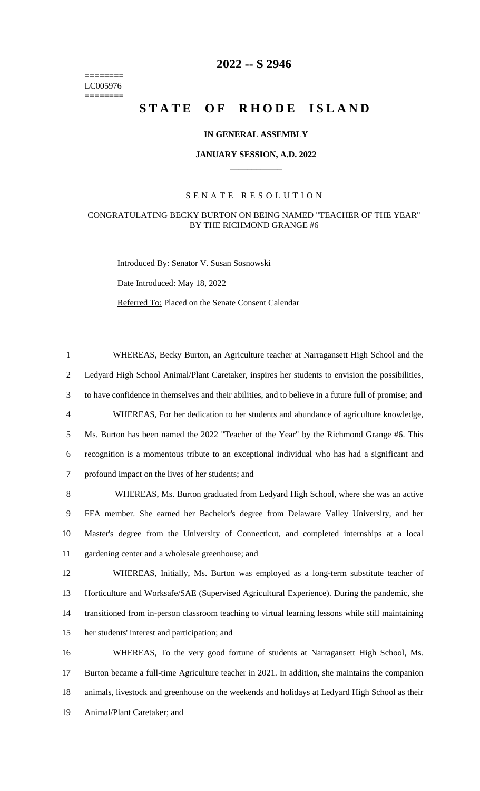======== LC005976 ========

## **-- S 2946**

# **STATE OF RHODE ISLAND**

#### **IN GENERAL ASSEMBLY**

#### **JANUARY SESSION, A.D. 2022 \_\_\_\_\_\_\_\_\_\_\_\_**

#### S E N A T E R E S O L U T I O N

### CONGRATULATING BECKY BURTON ON BEING NAMED "TEACHER OF THE YEAR" BY THE RICHMOND GRANGE #6

Introduced By: Senator V. Susan Sosnowski

Date Introduced: May 18, 2022

Referred To: Placed on the Senate Consent Calendar

 WHEREAS, Becky Burton, an Agriculture teacher at Narragansett High School and the Ledyard High School Animal/Plant Caretaker, inspires her students to envision the possibilities, to have confidence in themselves and their abilities, and to believe in a future full of promise; and WHEREAS, For her dedication to her students and abundance of agriculture knowledge, Ms. Burton has been named the 2022 "Teacher of the Year" by the Richmond Grange #6. This recognition is a momentous tribute to an exceptional individual who has had a significant and profound impact on the lives of her students; and WHEREAS, Ms. Burton graduated from Ledyard High School, where she was an active FFA member. She earned her Bachelor's degree from Delaware Valley University, and her Master's degree from the University of Connecticut, and completed internships at a local gardening center and a wholesale greenhouse; and WHEREAS, Initially, Ms. Burton was employed as a long-term substitute teacher of Horticulture and Worksafe/SAE (Supervised Agricultural Experience). During the pandemic, she transitioned from in-person classroom teaching to virtual learning lessons while still maintaining

her students' interest and participation; and

 WHEREAS, To the very good fortune of students at Narragansett High School, Ms. Burton became a full-time Agriculture teacher in 2021. In addition, she maintains the companion animals, livestock and greenhouse on the weekends and holidays at Ledyard High School as their Animal/Plant Caretaker; and